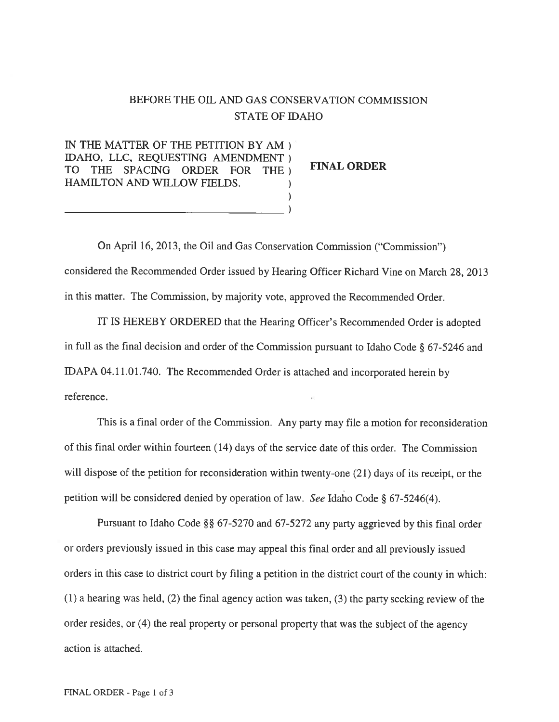# BEFORE THE OIL AND GAS CONSERVATION COMMISSION STATE OF IDAHO

IN THE MATTER OF THE PETITION BY AM) IDAHO, LLC, REQUESTING AMENDMENT) TO THE SPACING ORDER FOR THE TIME ORDER HAMILTON AND WILLOW FIELDS.  $\lambda$ 

On April 16, 2013, the Oil and Gas Conservation Commission ("Commission") considered the Recommended Order issued by Hearing Officer Richard Vine on March 28, 2013 in this matter. The Commission, by majority vote, approved the Recommended Order.

IT IS HEREBY ORDERED that the Hearing Officer's Recommended Order is adopted in full as the final decision and order of the Commission pursuan<sup>t</sup> to Idaho Code § 67-5246 and IDAPA 04.11.01.740. The Recommended Order is attached and incorporated herein by reference.

This is <sup>a</sup> final order of the Commission. Any party may file <sup>a</sup> motion for reconsideration of this final order within fourteen (14) days of the service date of this order. The Commission will dispose of the petition for reconsideration within twenty-one (21) days of its receipt, or the petition will be considered denied by operation of law. See Idaho Code § 67-5246(4).

Pursuant to Idaho Code §§ 67-5270 and 67-5272 any party aggrieved by this final order or orders previously issued in this case may appea<sup>l</sup> this final order and all previously issued orders in this case to district court by filing <sup>a</sup> petition in the district court of the county in which: (1) <sup>a</sup> hearing was held, (2) the final agency action was taken, (3) the party seeking review of the order resides, or (4) the real property or persona<sup>l</sup> property that was the subject of the agency action is attached.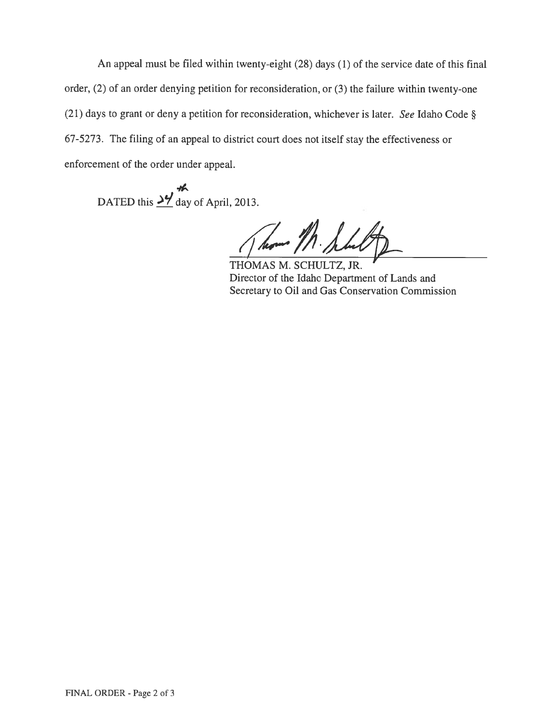An appeal must be filed within twenty-eight (28) days (1) of the service date of this final order, (2) of an order denying petition for reconsideration, or (3) the failure within twenty-one (21) days to gran<sup>t</sup> or deny <sup>a</sup> petition for reconsideration, whichever is later. See Idaho Code § 67-5273. The filing of an appea<sup>l</sup> to district court does not itself stay the effectiveness or enforcement of the order under appeal.

DATED this  $\frac{\cancel{37}}{\cancel{6}}$  day of April, 2013.

how /h. s

THOMAS M. SCHULTZ, JR. Director of the Idaho Department of Lands and Secretary to Oil and Gas Conservation Commission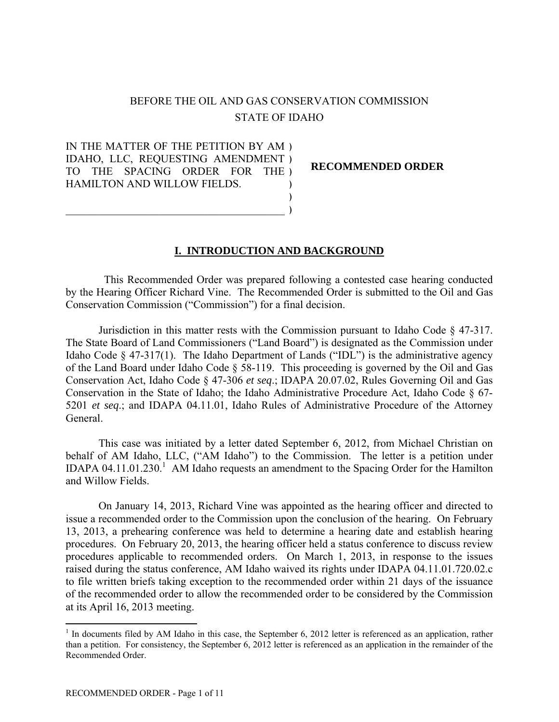# BEFORE THE OIL AND GAS CONSERVATION COMMISSION STATE OF IDAHO

IN THE MATTER OF THE PETITION BY AM ) IDAHO, LLC, REQUESTING AMENDMENT ) TO THE SPACING ORDER FOR THE ) HAMILTON AND WILLOW FIELDS. ) )

 $\mathcal{L}_\text{max}$  , and the contract of the contract of the contract of the contract of the contract of the contract of the contract of the contract of the contract of the contract of the contract of the contract of the contr

**RECOMMENDED ORDER** 

#### **I. INTRODUCTION AND BACKGROUND**

)

 This Recommended Order was prepared following a contested case hearing conducted by the Hearing Officer Richard Vine. The Recommended Order is submitted to the Oil and Gas Conservation Commission ("Commission") for a final decision.

Jurisdiction in this matter rests with the Commission pursuant to Idaho Code § 47-317. The State Board of Land Commissioners ("Land Board") is designated as the Commission under Idaho Code § 47-317(1). The Idaho Department of Lands ("IDL") is the administrative agency of the Land Board under Idaho Code § 58-119. This proceeding is governed by the Oil and Gas Conservation Act, Idaho Code § 47-306 *et seq*.; IDAPA 20.07.02, Rules Governing Oil and Gas Conservation in the State of Idaho; the Idaho Administrative Procedure Act, Idaho Code § 67- 5201 *et seq*.; and IDAPA 04.11.01, Idaho Rules of Administrative Procedure of the Attorney General.

This case was initiated by a letter dated September 6, 2012, from Michael Christian on behalf of AM Idaho, LLC, ("AM Idaho") to the Commission. The letter is a petition under IDAPA 04.11.01.230.<sup>1</sup> AM Idaho requests an amendment to the Spacing Order for the Hamilton and Willow Fields.

On January 14, 2013, Richard Vine was appointed as the hearing officer and directed to issue a recommended order to the Commission upon the conclusion of the hearing. On February 13, 2013, a prehearing conference was held to determine a hearing date and establish hearing procedures. On February 20, 2013, the hearing officer held a status conference to discuss review procedures applicable to recommended orders. On March 1, 2013, in response to the issues raised during the status conference, AM Idaho waived its rights under IDAPA 04.11.01.720.02.c to file written briefs taking exception to the recommended order within 21 days of the issuance of the recommended order to allow the recommended order to be considered by the Commission at its April 16, 2013 meeting.

 $\overline{a}$ 

 $<sup>1</sup>$  In documents filed by AM Idaho in this case, the September 6, 2012 letter is referenced as an application, rather</sup> than a petition. For consistency, the September 6, 2012 letter is referenced as an application in the remainder of the Recommended Order.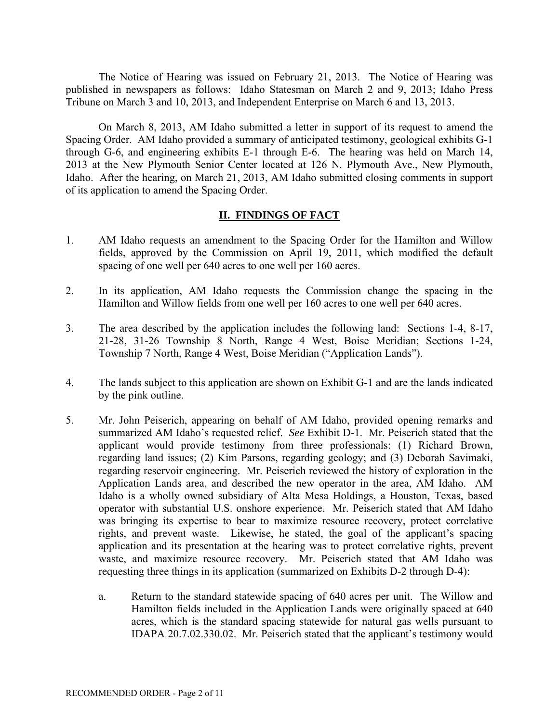The Notice of Hearing was issued on February 21, 2013. The Notice of Hearing was published in newspapers as follows: Idaho Statesman on March 2 and 9, 2013; Idaho Press Tribune on March 3 and 10, 2013, and Independent Enterprise on March 6 and 13, 2013.

On March 8, 2013, AM Idaho submitted a letter in support of its request to amend the Spacing Order. AM Idaho provided a summary of anticipated testimony, geological exhibits G-1 through G-6, and engineering exhibits E-1 through E-6. The hearing was held on March 14, 2013 at the New Plymouth Senior Center located at 126 N. Plymouth Ave., New Plymouth, Idaho. After the hearing, on March 21, 2013, AM Idaho submitted closing comments in support of its application to amend the Spacing Order.

### **II. FINDINGS OF FACT**

- 1. AM Idaho requests an amendment to the Spacing Order for the Hamilton and Willow fields, approved by the Commission on April 19, 2011, which modified the default spacing of one well per 640 acres to one well per 160 acres.
- 2. In its application, AM Idaho requests the Commission change the spacing in the Hamilton and Willow fields from one well per 160 acres to one well per 640 acres.
- 3. The area described by the application includes the following land: Sections 1-4, 8-17, 21-28, 31-26 Township 8 North, Range 4 West, Boise Meridian; Sections 1-24, Township 7 North, Range 4 West, Boise Meridian ("Application Lands").
- 4. The lands subject to this application are shown on Exhibit G-1 and are the lands indicated by the pink outline.
- 5. Mr. John Peiserich, appearing on behalf of AM Idaho, provided opening remarks and summarized AM Idaho's requested relief. *See* Exhibit D-1. Mr. Peiserich stated that the applicant would provide testimony from three professionals: (1) Richard Brown, regarding land issues; (2) Kim Parsons, regarding geology; and (3) Deborah Savimaki, regarding reservoir engineering. Mr. Peiserich reviewed the history of exploration in the Application Lands area, and described the new operator in the area, AM Idaho. AM Idaho is a wholly owned subsidiary of Alta Mesa Holdings, a Houston, Texas, based operator with substantial U.S. onshore experience. Mr. Peiserich stated that AM Idaho was bringing its expertise to bear to maximize resource recovery, protect correlative rights, and prevent waste. Likewise, he stated, the goal of the applicant's spacing application and its presentation at the hearing was to protect correlative rights, prevent waste, and maximize resource recovery. Mr. Peiserich stated that AM Idaho was requesting three things in its application (summarized on Exhibits D-2 through D-4):
	- a. Return to the standard statewide spacing of 640 acres per unit. The Willow and Hamilton fields included in the Application Lands were originally spaced at 640 acres, which is the standard spacing statewide for natural gas wells pursuant to IDAPA 20.7.02.330.02. Mr. Peiserich stated that the applicant's testimony would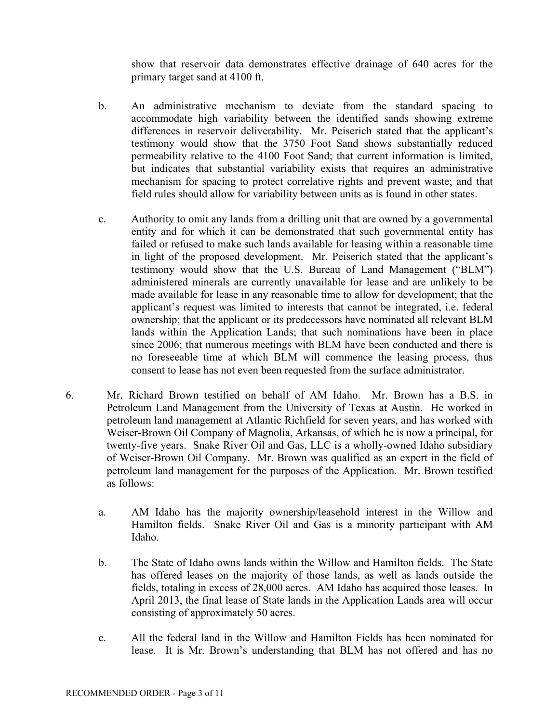show that reservoir data demonstrates effective drainage of 640 acres for the primary target sand at 4100 ft.

- b. An administrative mechanism to deviate from the standard spacing to accommodate high variability between the identified sands showing extreme differences in reservoir deliverability. Mr. Peiserich stated that the applicant's testimony would show that the 3750 Foot Sand shows substantially reduced permeability relative to the 4100 Foot Sand; that current information is limited, but indicates that substantial variability exists that requires an administrative mechanism for spacing to protect correlative rights and prevent waste; and that field rules should allow for variability between units as is found in other states.
- c. Authority to omit any lands from a drilling unit that are owned by a governmental entity and for which it can be demonstrated that such governmental entity has failed or refused to make such lands available for leasing within a reasonable time in light of the proposed development. Mr. Peiserich stated that the applicant's testimony would show that the U.S. Bureau of Land Management ("BLM") administered minerals are currently unavailable for lease and are unlikely to be made available for lease in any reasonable time to allow for development; that the applicant's request was limited to interests that cannot be integrated, i.e. federal ownership; that the applicant or its predecessors have nominated all relevant BLM lands within the Application Lands; that such nominations have been in place since 2006; that numerous meetings with BLM have been conducted and there is no foreseeable time at which BLM will commence the leasing process, thus consent to lease has not even been requested from the surface administrator.
- 6. Mr. Richard Brown testified on behalf of AM Idaho. Mr. Brown has a B.S. in Petroleum Land Management from the University of Texas at Austin. He worked in petroleum land management at Atlantic Richfield for seven years, and has worked with Weiser-Brown Oil Company of Magnolia, Arkansas, of which he is now a principal, for twenty-five years. Snake River Oil and Gas, LLC is a wholly-owned Idaho subsidiary of Weiser-Brown Oil Company. Mr. Brown was qualified as an expert in the field of petroleum land management for the purposes of the Application. Mr. Brown testified as follows:
	- a. AM Idaho has the majority ownership/leasehold interest in the Willow and Hamilton fields. Snake River Oil and Gas is a minority participant with AM Idaho.
	- b. The State of Idaho owns lands within the Willow and Hamilton fields. The State has offered leases on the majority of those lands, as well as lands outside the fields, totaling in excess of 28,000 acres. AM Idaho has acquired those leases. In April 2013, the final lease of State lands in the Application Lands area will occur consisting of approximately 50 acres.
	- c. All the federal land in the Willow and Hamilton Fields has been nominated for lease. It is Mr. Brown's understanding that BLM has not offered and has no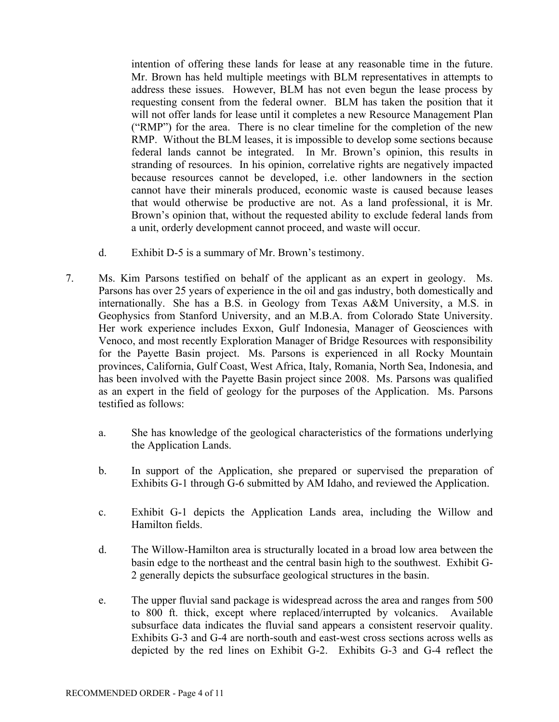intention of offering these lands for lease at any reasonable time in the future. Mr. Brown has held multiple meetings with BLM representatives in attempts to address these issues. However, BLM has not even begun the lease process by requesting consent from the federal owner. BLM has taken the position that it will not offer lands for lease until it completes a new Resource Management Plan ("RMP") for the area. There is no clear timeline for the completion of the new RMP. Without the BLM leases, it is impossible to develop some sections because federal lands cannot be integrated. In Mr. Brown's opinion, this results in stranding of resources. In his opinion, correlative rights are negatively impacted because resources cannot be developed, i.e. other landowners in the section cannot have their minerals produced, economic waste is caused because leases that would otherwise be productive are not. As a land professional, it is Mr. Brown's opinion that, without the requested ability to exclude federal lands from a unit, orderly development cannot proceed, and waste will occur.

- d. Exhibit D-5 is a summary of Mr. Brown's testimony.
- 7. Ms. Kim Parsons testified on behalf of the applicant as an expert in geology. Ms. Parsons has over 25 years of experience in the oil and gas industry, both domestically and internationally. She has a B.S. in Geology from Texas A&M University, a M.S. in Geophysics from Stanford University, and an M.B.A. from Colorado State University. Her work experience includes Exxon, Gulf Indonesia, Manager of Geosciences with Venoco, and most recently Exploration Manager of Bridge Resources with responsibility for the Payette Basin project. Ms. Parsons is experienced in all Rocky Mountain provinces, California, Gulf Coast, West Africa, Italy, Romania, North Sea, Indonesia, and has been involved with the Payette Basin project since 2008. Ms. Parsons was qualified as an expert in the field of geology for the purposes of the Application. Ms. Parsons testified as follows:
	- a. She has knowledge of the geological characteristics of the formations underlying the Application Lands.
	- b. In support of the Application, she prepared or supervised the preparation of Exhibits G-1 through G-6 submitted by AM Idaho, and reviewed the Application.
	- c. Exhibit G-1 depicts the Application Lands area, including the Willow and Hamilton fields.
	- d. The Willow-Hamilton area is structurally located in a broad low area between the basin edge to the northeast and the central basin high to the southwest. Exhibit G-2 generally depicts the subsurface geological structures in the basin.
	- e. The upper fluvial sand package is widespread across the area and ranges from 500 to 800 ft. thick, except where replaced/interrupted by volcanics. Available subsurface data indicates the fluvial sand appears a consistent reservoir quality. Exhibits G-3 and G-4 are north-south and east-west cross sections across wells as depicted by the red lines on Exhibit G-2. Exhibits G-3 and G-4 reflect the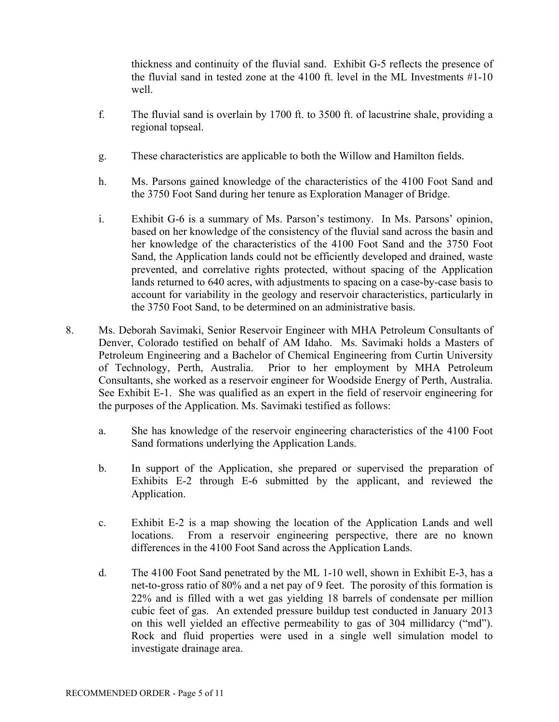thickness and continuity of the fluvial sand. Exhibit G-5 reflects the presence of the fluvial sand in tested zone at the 4100 ft. level in the ML Investments #1-10 well.

- f. The fluvial sand is overlain by 1700 ft. to 3500 ft. of lacustrine shale, providing a regional topseal.
- g. These characteristics are applicable to both the Willow and Hamilton fields.
- h. Ms. Parsons gained knowledge of the characteristics of the 4100 Foot Sand and the 3750 Foot Sand during her tenure as Exploration Manager of Bridge.
- i. Exhibit G-6 is a summary of Ms. Parson's testimony. In Ms. Parsons' opinion, based on her knowledge of the consistency of the fluvial sand across the basin and her knowledge of the characteristics of the 4100 Foot Sand and the 3750 Foot Sand, the Application lands could not be efficiently developed and drained, waste prevented, and correlative rights protected, without spacing of the Application lands returned to 640 acres, with adjustments to spacing on a case-by-case basis to account for variability in the geology and reservoir characteristics, particularly in the 3750 Foot Sand, to be determined on an administrative basis.
- 8. Ms. Deborah Savimaki, Senior Reservoir Engineer with MHA Petroleum Consultants of Denver, Colorado testified on behalf of AM Idaho. Ms. Savimaki holds a Masters of Petroleum Engineering and a Bachelor of Chemical Engineering from Curtin University of Technology, Perth, Australia. Prior to her employment by MHA Petroleum Consultants, she worked as a reservoir engineer for Woodside Energy of Perth, Australia. See Exhibit E-1. She was qualified as an expert in the field of reservoir engineering for the purposes of the Application. Ms. Savimaki testified as follows:
	- a. She has knowledge of the reservoir engineering characteristics of the 4100 Foot Sand formations underlying the Application Lands.
	- b. In support of the Application, she prepared or supervised the preparation of Exhibits E-2 through E-6 submitted by the applicant, and reviewed the Application.
	- c. Exhibit E-2 is a map showing the location of the Application Lands and well locations. From a reservoir engineering perspective, there are no known differences in the 4100 Foot Sand across the Application Lands.
	- d. The 4100 Foot Sand penetrated by the ML 1-10 well, shown in Exhibit E-3, has a net-to-gross ratio of 80% and a net pay of 9 feet. The porosity of this formation is 22% and is filled with a wet gas yielding 18 barrels of condensate per million cubic feet of gas. An extended pressure buildup test conducted in January 2013 on this well yielded an effective permeability to gas of 304 millidarcy ("md"). Rock and fluid properties were used in a single well simulation model to investigate drainage area.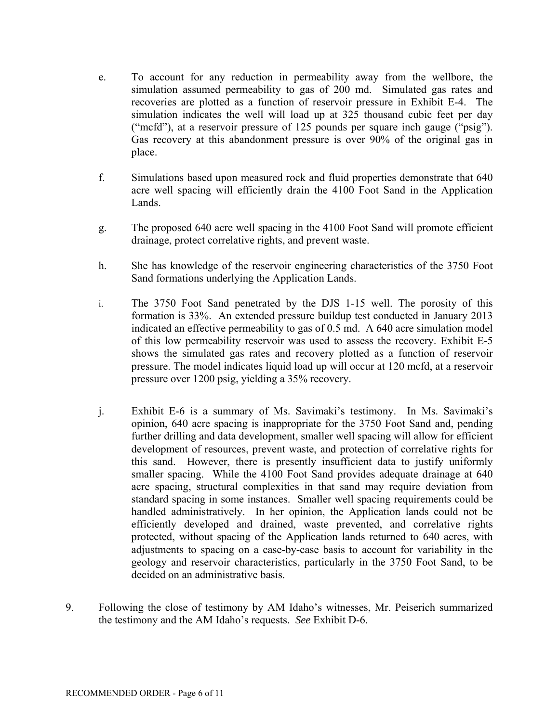- e. To account for any reduction in permeability away from the wellbore, the simulation assumed permeability to gas of 200 md. Simulated gas rates and recoveries are plotted as a function of reservoir pressure in Exhibit E-4. The simulation indicates the well will load up at 325 thousand cubic feet per day ("mcfd"), at a reservoir pressure of 125 pounds per square inch gauge ("psig"). Gas recovery at this abandonment pressure is over 90% of the original gas in place.
- f. Simulations based upon measured rock and fluid properties demonstrate that 640 acre well spacing will efficiently drain the 4100 Foot Sand in the Application Lands.
- g. The proposed 640 acre well spacing in the 4100 Foot Sand will promote efficient drainage, protect correlative rights, and prevent waste.
- h. She has knowledge of the reservoir engineering characteristics of the 3750 Foot Sand formations underlying the Application Lands.
- i. The 3750 Foot Sand penetrated by the DJS 1-15 well. The porosity of this formation is 33%. An extended pressure buildup test conducted in January 2013 indicated an effective permeability to gas of 0.5 md. A 640 acre simulation model of this low permeability reservoir was used to assess the recovery. Exhibit E-5 shows the simulated gas rates and recovery plotted as a function of reservoir pressure. The model indicates liquid load up will occur at 120 mcfd, at a reservoir pressure over 1200 psig, yielding a 35% recovery.
- j. Exhibit E-6 is a summary of Ms. Savimaki's testimony. In Ms. Savimaki's opinion, 640 acre spacing is inappropriate for the 3750 Foot Sand and, pending further drilling and data development, smaller well spacing will allow for efficient development of resources, prevent waste, and protection of correlative rights for this sand. However, there is presently insufficient data to justify uniformly smaller spacing. While the 4100 Foot Sand provides adequate drainage at 640 acre spacing, structural complexities in that sand may require deviation from standard spacing in some instances. Smaller well spacing requirements could be handled administratively. In her opinion, the Application lands could not be efficiently developed and drained, waste prevented, and correlative rights protected, without spacing of the Application lands returned to 640 acres, with adjustments to spacing on a case-by-case basis to account for variability in the geology and reservoir characteristics, particularly in the 3750 Foot Sand, to be decided on an administrative basis.
- 9. Following the close of testimony by AM Idaho's witnesses, Mr. Peiserich summarized the testimony and the AM Idaho's requests. *See* Exhibit D-6.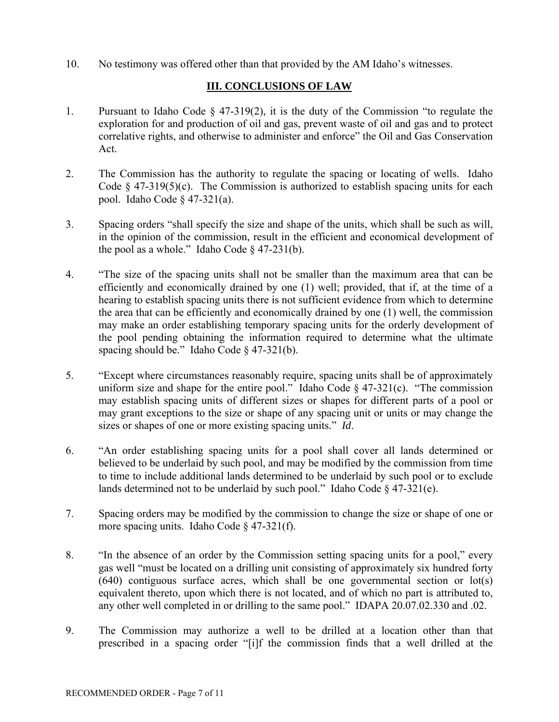10. No testimony was offered other than that provided by the AM Idaho's witnesses.

## **III. CONCLUSIONS OF LAW**

- 1. Pursuant to Idaho Code § 47-319(2), it is the duty of the Commission "to regulate the exploration for and production of oil and gas, prevent waste of oil and gas and to protect correlative rights, and otherwise to administer and enforce" the Oil and Gas Conservation Act.
- 2. The Commission has the authority to regulate the spacing or locating of wells. Idaho Code  $\S$  47-319(5)(c). The Commission is authorized to establish spacing units for each pool. Idaho Code § 47-321(a).
- 3. Spacing orders "shall specify the size and shape of the units, which shall be such as will, in the opinion of the commission, result in the efficient and economical development of the pool as a whole." Idaho Code  $\S$  47-231(b).
- 4. "The size of the spacing units shall not be smaller than the maximum area that can be efficiently and economically drained by one (1) well; provided, that if, at the time of a hearing to establish spacing units there is not sufficient evidence from which to determine the area that can be efficiently and economically drained by one (1) well, the commission may make an order establishing temporary spacing units for the orderly development of the pool pending obtaining the information required to determine what the ultimate spacing should be." Idaho Code § 47-321(b).
- 5. "Except where circumstances reasonably require, spacing units shall be of approximately uniform size and shape for the entire pool." Idaho Code  $\frac{1}{2}$  47-321(c). "The commission may establish spacing units of different sizes or shapes for different parts of a pool or may grant exceptions to the size or shape of any spacing unit or units or may change the sizes or shapes of one or more existing spacing units." *Id*.
- 6. "An order establishing spacing units for a pool shall cover all lands determined or believed to be underlaid by such pool, and may be modified by the commission from time to time to include additional lands determined to be underlaid by such pool or to exclude lands determined not to be underlaid by such pool." Idaho Code  $§$  47-321(e).
- 7. Spacing orders may be modified by the commission to change the size or shape of one or more spacing units. Idaho Code § 47-321(f).
- 8. "In the absence of an order by the Commission setting spacing units for a pool," every gas well "must be located on a drilling unit consisting of approximately six hundred forty (640) contiguous surface acres, which shall be one governmental section or lot(s) equivalent thereto, upon which there is not located, and of which no part is attributed to, any other well completed in or drilling to the same pool." IDAPA 20.07.02.330 and .02.
- 9. The Commission may authorize a well to be drilled at a location other than that prescribed in a spacing order "[i]f the commission finds that a well drilled at the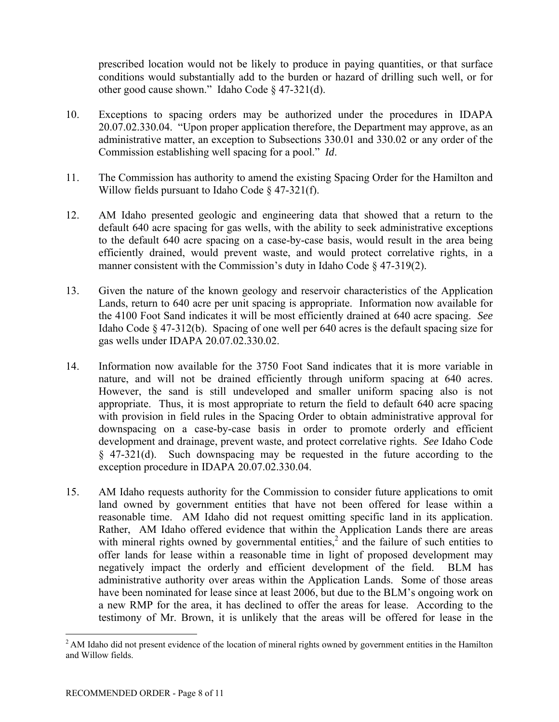prescribed location would not be likely to produce in paying quantities, or that surface conditions would substantially add to the burden or hazard of drilling such well, or for other good cause shown." Idaho Code § 47-321(d).

- 10. Exceptions to spacing orders may be authorized under the procedures in IDAPA 20.07.02.330.04. "Upon proper application therefore, the Department may approve, as an administrative matter, an exception to Subsections 330.01 and 330.02 or any order of the Commission establishing well spacing for a pool." *Id*.
- 11. The Commission has authority to amend the existing Spacing Order for the Hamilton and Willow fields pursuant to Idaho Code § 47-321(f).
- 12. AM Idaho presented geologic and engineering data that showed that a return to the default 640 acre spacing for gas wells, with the ability to seek administrative exceptions to the default 640 acre spacing on a case-by-case basis, would result in the area being efficiently drained, would prevent waste, and would protect correlative rights, in a manner consistent with the Commission's duty in Idaho Code § 47-319(2).
- 13. Given the nature of the known geology and reservoir characteristics of the Application Lands, return to 640 acre per unit spacing is appropriate. Information now available for the 4100 Foot Sand indicates it will be most efficiently drained at 640 acre spacing. *See* Idaho Code § 47-312(b). Spacing of one well per 640 acres is the default spacing size for gas wells under IDAPA 20.07.02.330.02.
- 14. Information now available for the 3750 Foot Sand indicates that it is more variable in nature, and will not be drained efficiently through uniform spacing at 640 acres. However, the sand is still undeveloped and smaller uniform spacing also is not appropriate. Thus, it is most appropriate to return the field to default 640 acre spacing with provision in field rules in the Spacing Order to obtain administrative approval for downspacing on a case-by-case basis in order to promote orderly and efficient development and drainage, prevent waste, and protect correlative rights. *See* Idaho Code § 47-321(d). Such downspacing may be requested in the future according to the exception procedure in IDAPA 20.07.02.330.04.
- 15. AM Idaho requests authority for the Commission to consider future applications to omit land owned by government entities that have not been offered for lease within a reasonable time. AM Idaho did not request omitting specific land in its application. Rather, AM Idaho offered evidence that within the Application Lands there are areas with mineral rights owned by governmental entities,<sup>2</sup> and the failure of such entities to offer lands for lease within a reasonable time in light of proposed development may negatively impact the orderly and efficient development of the field. BLM has administrative authority over areas within the Application Lands. Some of those areas have been nominated for lease since at least 2006, but due to the BLM's ongoing work on a new RMP for the area, it has declined to offer the areas for lease. According to the testimony of Mr. Brown, it is unlikely that the areas will be offered for lease in the

 $\overline{a}$  $<sup>2</sup>$  AM Idaho did not present evidence of the location of mineral rights owned by government entities in the Hamilton</sup> and Willow fields.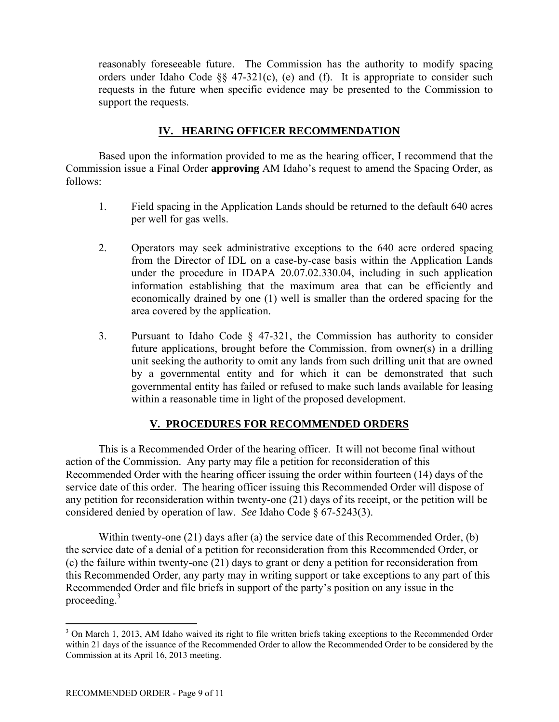reasonably foreseeable future. The Commission has the authority to modify spacing orders under Idaho Code §§ 47-321(c), (e) and (f). It is appropriate to consider such requests in the future when specific evidence may be presented to the Commission to support the requests.

### **IV. HEARING OFFICER RECOMMENDATION**

 Based upon the information provided to me as the hearing officer, I recommend that the Commission issue a Final Order **approving** AM Idaho's request to amend the Spacing Order, as follows:

- 1. Field spacing in the Application Lands should be returned to the default 640 acres per well for gas wells.
- 2. Operators may seek administrative exceptions to the 640 acre ordered spacing from the Director of IDL on a case-by-case basis within the Application Lands under the procedure in IDAPA 20.07.02.330.04, including in such application information establishing that the maximum area that can be efficiently and economically drained by one (1) well is smaller than the ordered spacing for the area covered by the application.
- 3. Pursuant to Idaho Code § 47-321, the Commission has authority to consider future applications, brought before the Commission, from owner(s) in a drilling unit seeking the authority to omit any lands from such drilling unit that are owned by a governmental entity and for which it can be demonstrated that such governmental entity has failed or refused to make such lands available for leasing within a reasonable time in light of the proposed development.

# **V. PROCEDURES FOR RECOMMENDED ORDERS**

 This is a Recommended Order of the hearing officer. It will not become final without action of the Commission. Any party may file a petition for reconsideration of this Recommended Order with the hearing officer issuing the order within fourteen (14) days of the service date of this order. The hearing officer issuing this Recommended Order will dispose of any petition for reconsideration within twenty-one (21) days of its receipt, or the petition will be considered denied by operation of law. *See* Idaho Code § 67-5243(3).

 Within twenty-one (21) days after (a) the service date of this Recommended Order, (b) the service date of a denial of a petition for reconsideration from this Recommended Order, or (c) the failure within twenty-one (21) days to grant or deny a petition for reconsideration from this Recommended Order, any party may in writing support or take exceptions to any part of this Recommended Order and file briefs in support of the party's position on any issue in the proceeding.<sup>3</sup>

 $\overline{a}$ 

<sup>&</sup>lt;sup>3</sup> On March 1, 2013, AM Idaho waived its right to file written briefs taking exceptions to the Recommended Order within 21 days of the issuance of the Recommended Order to allow the Recommended Order to be considered by the Commission at its April 16, 2013 meeting.